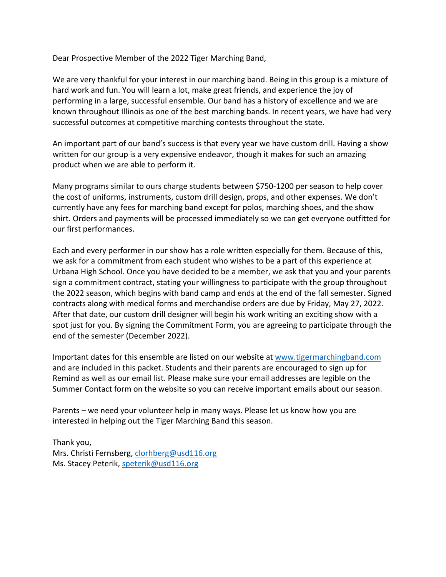Dear Prospective Member of the 2022 Tiger Marching Band,

We are very thankful for your interest in our marching band. Being in this group is a mixture of hard work and fun. You will learn a lot, make great friends, and experience the joy of performing in a large, successful ensemble. Our band has a history of excellence and we are known throughout Illinois as one of the best marching bands. In recent years, we have had very successful outcomes at competitive marching contests throughout the state.

An important part of our band's success is that every year we have custom drill. Having a show written for our group is a very expensive endeavor, though it makes for such an amazing product when we are able to perform it.

Many programs similar to ours charge students between \$750-1200 per season to help cover the cost of uniforms, instruments, custom drill design, props, and other expenses. We don't currently have any fees for marching band except for polos, marching shoes, and the show shirt. Orders and payments will be processed immediately so we can get everyone outfitted for our first performances.

Each and every performer in our show has a role written especially for them. Because of this, we ask for a commitment from each student who wishes to be a part of this experience at Urbana High School. Once you have decided to be a member, we ask that you and your parents sign a commitment contract, stating your willingness to participate with the group throughout the 2022 season, which begins with band camp and ends at the end of the fall semester. Signed contracts along with medical forms and merchandise orders are due by Friday, May 27, 2022. After that date, our custom drill designer will begin his work writing an exciting show with a spot just for you. By signing the Commitment Form, you are agreeing to participate through the end of the semester (December 2022).

Important dates for this ensemble are listed on our website at www.tigermarchingband.com and are included in this packet. Students and their parents are encouraged to sign up for Remind as well as our email list. Please make sure your email addresses are legible on the Summer Contact form on the website so you can receive important emails about our season.

Parents – we need your volunteer help in many ways. Please let us know how you are interested in helping out the Tiger Marching Band this season.

Thank you, Mrs. Christi Fernsberg, clorhberg@usd116.org Ms. Stacey Peterik, speterik@usd116.org